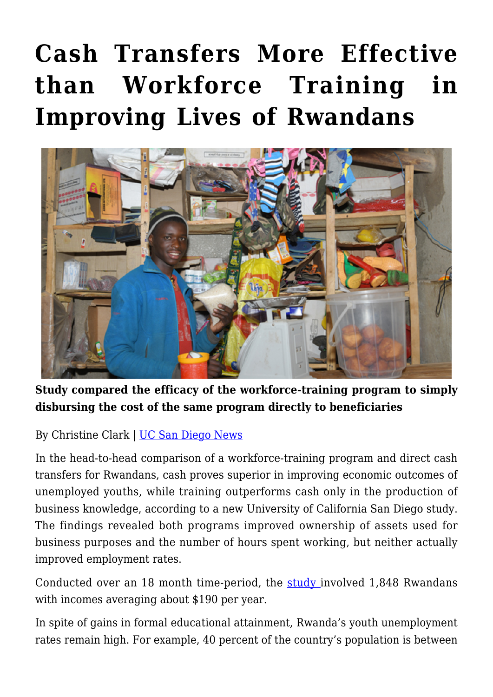## **[Cash Transfers More Effective](https://gpsnews.ucsd.edu/cash-transfers-more-effective-than-workforce-training-in-improving-lives-of-rwandans/) [than Workforce Training in](https://gpsnews.ucsd.edu/cash-transfers-more-effective-than-workforce-training-in-improving-lives-of-rwandans/) [Improving Lives of Rwandans](https://gpsnews.ucsd.edu/cash-transfers-more-effective-than-workforce-training-in-improving-lives-of-rwandans/)**



**Study compared the efficacy of the workforce-training program to simply disbursing the cost of the same program directly to beneficiaries**

By Christine Clark | [UC San Diego News](https://ucsdnews.ucsd.edu/pressrelease/cash-transfers-more-effective-than-workforce-training-in-improving-lives-of-rwandans)

In the head-to-head comparison of a workforce-training program and direct cash transfers for Rwandans, cash proves superior in improving economic outcomes of unemployed youths, while training outperforms cash only in the production of business knowledge, according to a new University of California San Diego study. The findings revealed both programs improved ownership of assets used for business purposes and the number of hours spent working, but neither actually improved employment rates.

Conducted over an 18 month time-period, the [study](https://arxiv.org/pdf/2009.01749.pdf) involved 1,848 Rwandans with incomes averaging about \$190 per year.

In spite of gains in formal educational attainment, Rwanda's youth unemployment rates remain high. For example, 40 percent of the country's population is between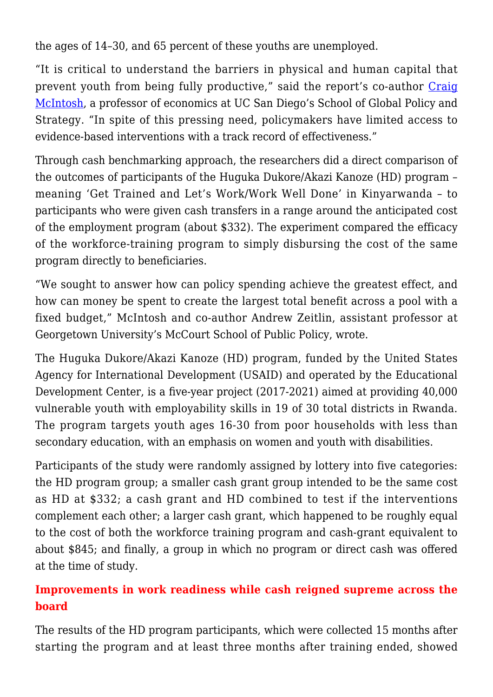the ages of 14–30, and 65 percent of these youths are unemployed.

"It is critical to understand the barriers in physical and human capital that prevent youth from being fully productive," said the report's co-author [Craig](https://gps.ucsd.edu/faculty-directory/craig-mcintosh.html) [McIntosh,](https://gps.ucsd.edu/faculty-directory/craig-mcintosh.html) a professor of economics at UC San Diego's School of Global Policy and Strategy. "In spite of this pressing need, policymakers have limited access to evidence-based interventions with a track record of effectiveness."

Through cash benchmarking approach, the researchers did a direct comparison of the outcomes of participants of the Huguka Dukore/Akazi Kanoze (HD) program – meaning 'Get Trained and Let's Work/Work Well Done' in Kinyarwanda – to participants who were given cash transfers in a range around the anticipated cost of the employment program (about \$332). The experiment compared the efficacy of the workforce-training program to simply disbursing the cost of the same program directly to beneficiaries.

"We sought to answer how can policy spending achieve the greatest effect, and how can money be spent to create the largest total benefit across a pool with a fixed budget," McIntosh and co-author Andrew Zeitlin, assistant professor at Georgetown University's McCourt School of Public Policy, wrote.

The Huguka Dukore/Akazi Kanoze (HD) program, funded by the United States Agency for International Development (USAID) and operated by the Educational Development Center, is a five-year project (2017-2021) aimed at providing 40,000 vulnerable youth with employability skills in 19 of 30 total districts in Rwanda. The program targets youth ages 16-30 from poor households with less than secondary education, with an emphasis on women and youth with disabilities.

Participants of the study were randomly assigned by lottery into five categories: the HD program group; a smaller cash grant group intended to be the same cost as HD at \$332; a cash grant and HD combined to test if the interventions complement each other; a larger cash grant, which happened to be roughly equal to the cost of both the workforce training program and cash-grant equivalent to about \$845; and finally, a group in which no program or direct cash was offered at the time of study.

## **Improvements in work readiness while cash reigned supreme across the board**

The results of the HD program participants, which were collected 15 months after starting the program and at least three months after training ended, showed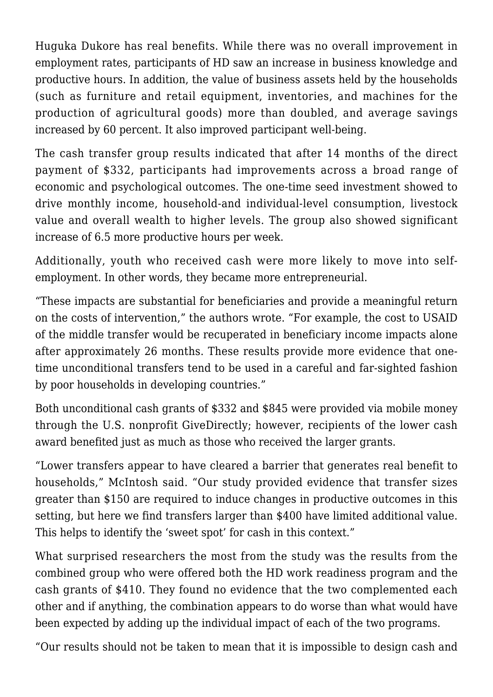Huguka Dukore has real benefits. While there was no overall improvement in employment rates, participants of HD saw an increase in business knowledge and productive hours. In addition, the value of business assets held by the households (such as furniture and retail equipment, inventories, and machines for the production of agricultural goods) more than doubled, and average savings increased by 60 percent. It also improved participant well-being.

The cash transfer group results indicated that after 14 months of the direct payment of \$332, participants had improvements across a broad range of economic and psychological outcomes. The one-time seed investment showed to drive monthly income, household-and individual-level consumption, livestock value and overall wealth to higher levels. The group also showed significant increase of 6.5 more productive hours per week.

Additionally, youth who received cash were more likely to move into selfemployment. In other words, they became more entrepreneurial.

"These impacts are substantial for beneficiaries and provide a meaningful return on the costs of intervention," the authors wrote. "For example, the cost to USAID of the middle transfer would be recuperated in beneficiary income impacts alone after approximately 26 months. These results provide more evidence that onetime unconditional transfers tend to be used in a careful and far-sighted fashion by poor households in developing countries."

Both unconditional cash grants of \$332 and \$845 were provided via mobile money through the U.S. nonprofit GiveDirectly; however, recipients of the lower cash award benefited just as much as those who received the larger grants.

"Lower transfers appear to have cleared a barrier that generates real benefit to households," McIntosh said. "Our study provided evidence that transfer sizes greater than \$150 are required to induce changes in productive outcomes in this setting, but here we find transfers larger than \$400 have limited additional value. This helps to identify the 'sweet spot' for cash in this context."

What surprised researchers the most from the study was the results from the combined group who were offered both the HD work readiness program and the cash grants of \$410. They found no evidence that the two complemented each other and if anything, the combination appears to do worse than what would have been expected by adding up the individual impact of each of the two programs.

"Our results should not be taken to mean that it is impossible to design cash and